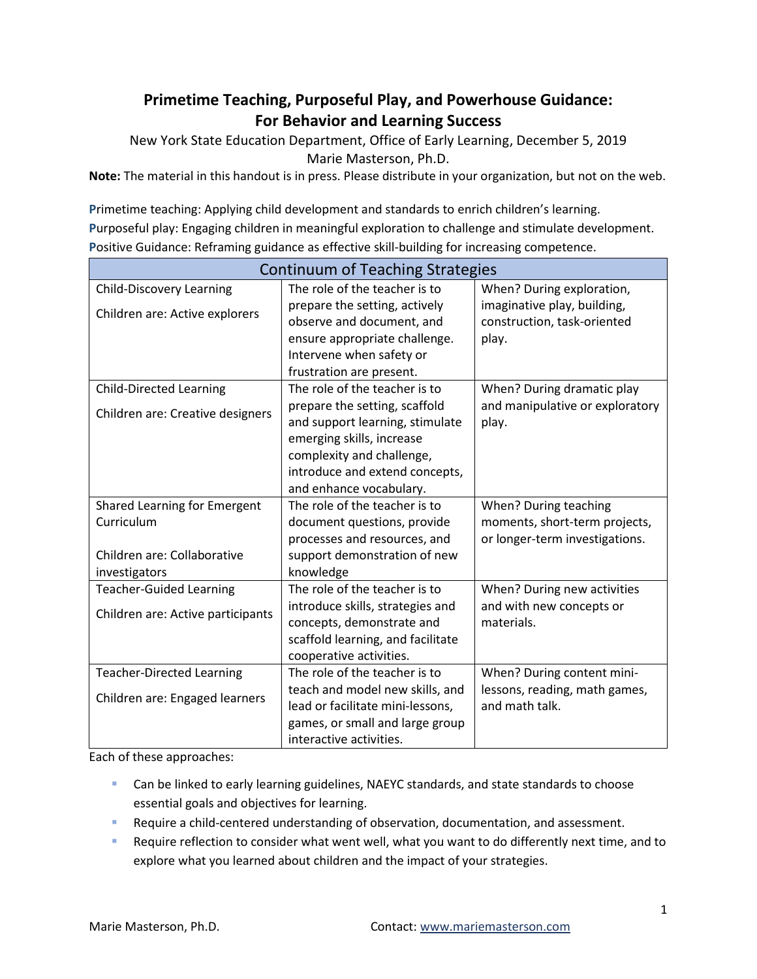# **Primetime Teaching, Purposeful Play, and Powerhouse Guidance: For Behavior and Learning Success**

New York State Education Department, Office of Early Learning, December 5, 2019 Marie Masterson, Ph.D.

**Note:** The material in this handout is in press. Please distribute in your organization, but not on the web.

**P**rimetime teaching: Applying child development and standards to enrich children's learning. **P**urposeful play: Engaging children in meaningful exploration to challenge and stimulate development. **P**ositive Guidance: Reframing guidance as effective skill-building for increasing competence.

| Continuum of Teaching Strategies  |                                   |                                 |  |
|-----------------------------------|-----------------------------------|---------------------------------|--|
| <b>Child-Discovery Learning</b>   | The role of the teacher is to     | When? During exploration,       |  |
| Children are: Active explorers    | prepare the setting, actively     | imaginative play, building,     |  |
|                                   | observe and document, and         | construction, task-oriented     |  |
|                                   | ensure appropriate challenge.     | play.                           |  |
|                                   | Intervene when safety or          |                                 |  |
|                                   | frustration are present.          |                                 |  |
| <b>Child-Directed Learning</b>    | The role of the teacher is to     | When? During dramatic play      |  |
| Children are: Creative designers  | prepare the setting, scaffold     | and manipulative or exploratory |  |
|                                   | and support learning, stimulate   | play.                           |  |
|                                   | emerging skills, increase         |                                 |  |
|                                   | complexity and challenge,         |                                 |  |
|                                   | introduce and extend concepts,    |                                 |  |
|                                   | and enhance vocabulary.           |                                 |  |
| Shared Learning for Emergent      | The role of the teacher is to     | When? During teaching           |  |
| Curriculum                        | document questions, provide       | moments, short-term projects,   |  |
|                                   | processes and resources, and      | or longer-term investigations.  |  |
| Children are: Collaborative       | support demonstration of new      |                                 |  |
| investigators                     | knowledge                         |                                 |  |
| <b>Teacher-Guided Learning</b>    | The role of the teacher is to     | When? During new activities     |  |
| Children are: Active participants | introduce skills, strategies and  | and with new concepts or        |  |
|                                   | concepts, demonstrate and         | materials.                      |  |
|                                   | scaffold learning, and facilitate |                                 |  |
|                                   | cooperative activities.           |                                 |  |
| <b>Teacher-Directed Learning</b>  | The role of the teacher is to     | When? During content mini-      |  |
| Children are: Engaged learners    | teach and model new skills, and   | lessons, reading, math games,   |  |
|                                   | lead or facilitate mini-lessons,  | and math talk.                  |  |
|                                   | games, or small and large group   |                                 |  |
|                                   | interactive activities.           |                                 |  |

Each of these approaches:

- **EXT** Can be linked to early learning guidelines, NAEYC standards, and state standards to choose essential goals and objectives for learning.
- **Require a child-centered understanding of observation, documentation, and assessment.**
- Require reflection to consider what went well, what you want to do differently next time, and to explore what you learned about children and the impact of your strategies.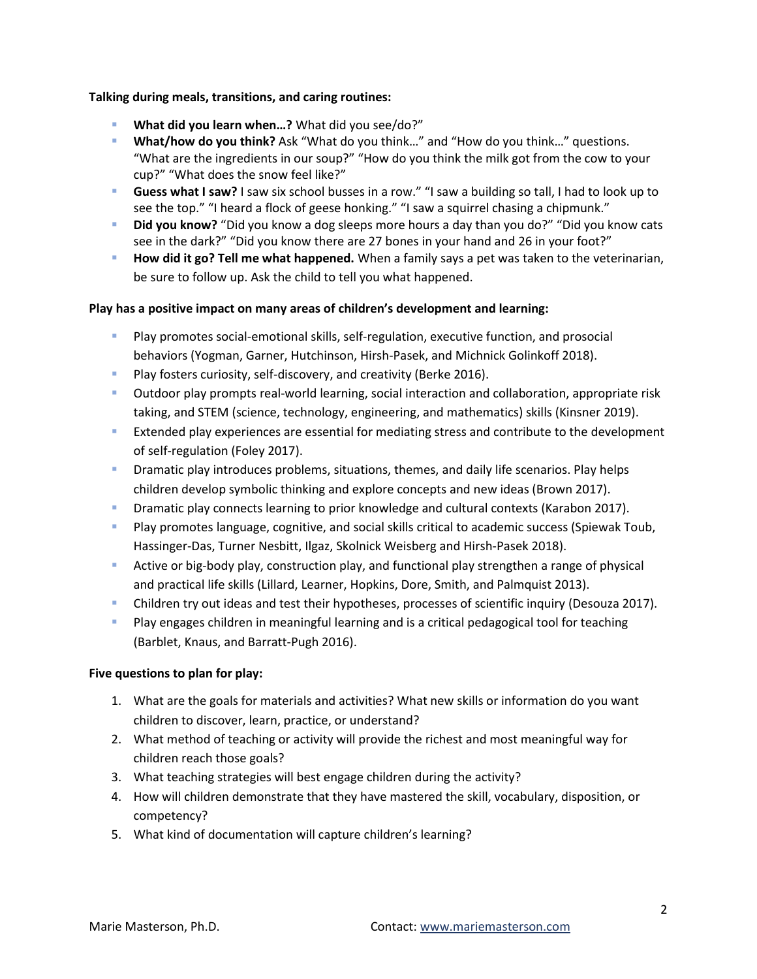# **Talking during meals, transitions, and caring routines:**

- **What did you learn when…?** What did you see/do?"
- **What/how do you think?** Ask "What do you think…" and "How do you think…" questions. "What are the ingredients in our soup?" "How do you think the milk got from the cow to your cup?" "What does the snow feel like?"
- **Guess what I saw?** I saw six school busses in a row." "I saw a building so tall, I had to look up to see the top." "I heard a flock of geese honking." "I saw a squirrel chasing a chipmunk."
- **Did you know?** "Did you know a dog sleeps more hours a day than you do?" "Did you know cats see in the dark?" "Did you know there are 27 bones in your hand and 26 in your foot?"
- **How did it go? Tell me what happened.** When a family says a pet was taken to the veterinarian, be sure to follow up. Ask the child to tell you what happened.

## **Play has a positive impact on many areas of children's development and learning:**

- Play promotes social-emotional skills, self-regulation, executive function, and prosocial behaviors (Yogman, Garner, Hutchinson, Hirsh-Pasek, and Michnick Golinkoff 2018).
- **Play fosters curiosity, self-discovery, and creativity (Berke 2016).**
- Outdoor play prompts real-world learning, social interaction and collaboration, appropriate risk taking, and STEM (science, technology, engineering, and mathematics) skills (Kinsner 2019).
- **EXTER 2018 Extended play experiences are essential for mediating stress and contribute to the development** of self-regulation (Foley 2017).
- **Dramatic play introduces problems, situations, themes, and daily life scenarios. Play helps** children develop symbolic thinking and explore concepts and new ideas (Brown 2017).
- **Dramatic play connects learning to prior knowledge and cultural contexts (Karabon 2017).**
- **Play promotes language, cognitive, and social skills critical to academic success (Spiewak Toub,** Hassinger-Das, Turner Nesbitt, Ilgaz, Skolnick Weisberg and Hirsh-Pasek 2018).
- Active or big-body play, construction play, and functional play strengthen a range of physical and practical life skills (Lillard, Learner, Hopkins, Dore, Smith, and Palmquist 2013).
- Children try out ideas and test their hypotheses, processes of scientific inquiry (Desouza 2017).
- **Play engages children in meaningful learning and is a critical pedagogical tool for teaching** (Barblet, Knaus, and Barratt-Pugh 2016).

#### **Five questions to plan for play:**

- 1. What are the goals for materials and activities? What new skills or information do you want children to discover, learn, practice, or understand?
- 2. What method of teaching or activity will provide the richest and most meaningful way for children reach those goals?
- 3. What teaching strategies will best engage children during the activity?
- 4. How will children demonstrate that they have mastered the skill, vocabulary, disposition, or competency?
- 5. What kind of documentation will capture children's learning?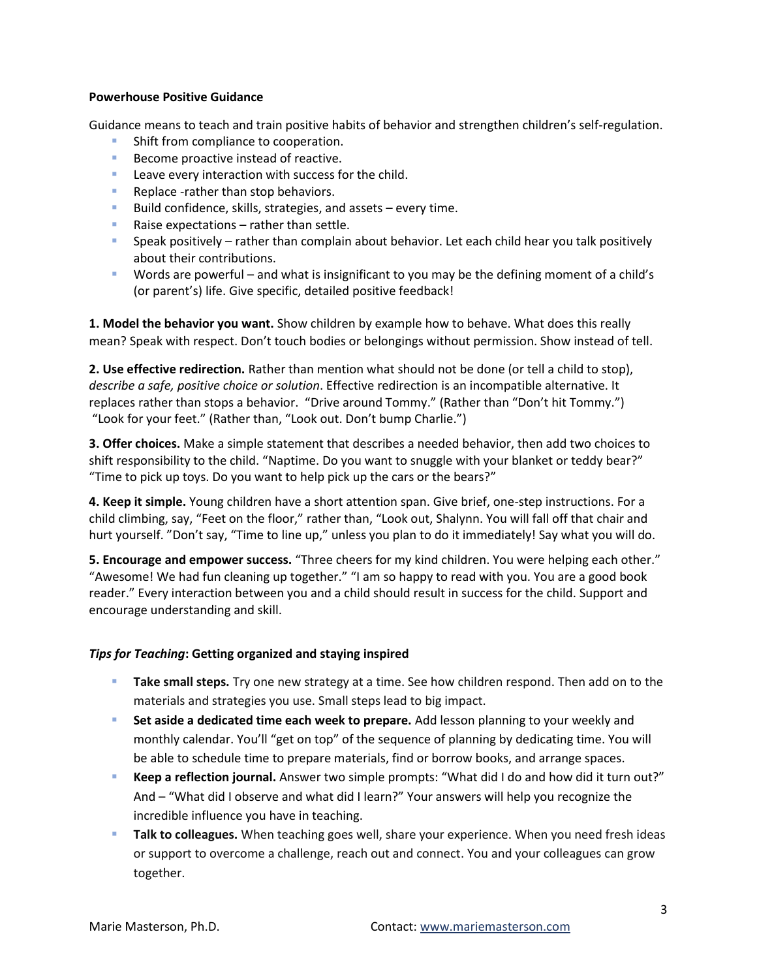### **Powerhouse Positive Guidance**

Guidance means to teach and train positive habits of behavior and strengthen children's self-regulation.

- **Shift from compliance to cooperation.**
- Become proactive instead of reactive.
- **Leave every interaction with success for the child.**
- **Replace -rather than stop behaviors.**
- Build confidence, skills, strategies, and assets  $-$  every time.
- Raise expectations  $-$  rather than settle.
- **Speak positively rather than complain about behavior. Let each child hear you talk positively** about their contributions.
- Words are powerful and what is insignificant to you may be the defining moment of a child's (or parent's) life. Give specific, detailed positive feedback!

**1. Model the behavior you want.** Show children by example how to behave. What does this really mean? Speak with respect. Don't touch bodies or belongings without permission. Show instead of tell.

**2. Use effective redirection.** Rather than mention what should not be done (or tell a child to stop), *describe a safe, positive choice or solution*. Effective redirection is an incompatible alternative. It replaces rather than stops a behavior. "Drive around Tommy." (Rather than "Don't hit Tommy.") "Look for your feet." (Rather than, "Look out. Don't bump Charlie.")

**3. Offer choices.** Make a simple statement that describes a needed behavior, then add two choices to shift responsibility to the child. "Naptime. Do you want to snuggle with your blanket or teddy bear?" "Time to pick up toys. Do you want to help pick up the cars or the bears?"

**4. Keep it simple.** Young children have a short attention span. Give brief, one-step instructions. For a child climbing, say, "Feet on the floor," rather than, "Look out, Shalynn. You will fall off that chair and hurt yourself. "Don't say, "Time to line up," unless you plan to do it immediately! Say what you will do.

**5. Encourage and empower success.** "Three cheers for my kind children. You were helping each other." "Awesome! We had fun cleaning up together." "I am so happy to read with you. You are a good book reader." Every interaction between you and a child should result in success for the child. Support and encourage understanding and skill.

# *Tips for Teaching***: Getting organized and staying inspired**

- **Take small steps.** Try one new strategy at a time. See how children respond. Then add on to the materials and strategies you use. Small steps lead to big impact.
- **Set aside a dedicated time each week to prepare.** Add lesson planning to your weekly and monthly calendar. You'll "get on top" of the sequence of planning by dedicating time. You will be able to schedule time to prepare materials, find or borrow books, and arrange spaces.
- **Keep a reflection journal.** Answer two simple prompts: "What did I do and how did it turn out?" And – "What did I observe and what did I learn?" Your answers will help you recognize the incredible influence you have in teaching.
- **Talk to colleagues.** When teaching goes well, share your experience. When you need fresh ideas or support to overcome a challenge, reach out and connect. You and your colleagues can grow together.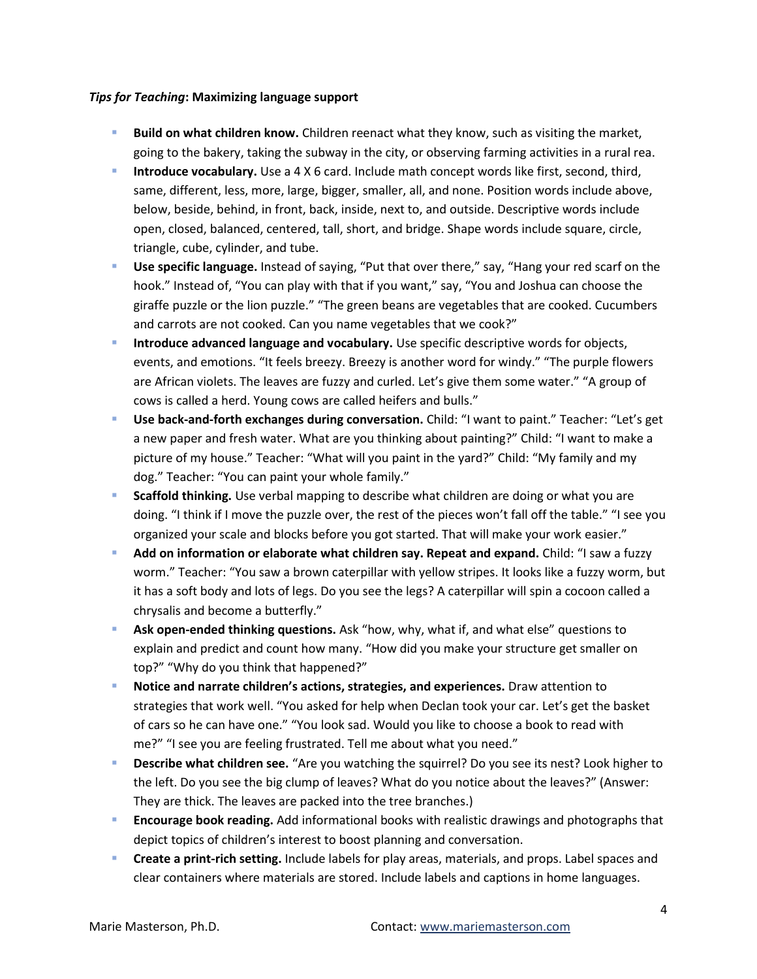## *Tips for Teaching***: Maximizing language support**

- **Build on what children know.** Children reenact what they know, such as visiting the market, going to the bakery, taking the subway in the city, or observing farming activities in a rural rea.
- **Introduce vocabulary.** Use a 4 X 6 card. Include math concept words like first, second, third, same, different, less, more, large, bigger, smaller, all, and none. Position words include above, below, beside, behind, in front, back, inside, next to, and outside. Descriptive words include open, closed, balanced, centered, tall, short, and bridge. Shape words include square, circle, triangle, cube, cylinder, and tube.
- **Use specific language.** Instead of saying, "Put that over there," say, "Hang your red scarf on the hook." Instead of, "You can play with that if you want," say, "You and Joshua can choose the giraffe puzzle or the lion puzzle." "The green beans are vegetables that are cooked. Cucumbers and carrots are not cooked. Can you name vegetables that we cook?"
- **Introduce advanced language and vocabulary.** Use specific descriptive words for objects, events, and emotions. "It feels breezy. Breezy is another word for windy." "The purple flowers are African violets. The leaves are fuzzy and curled. Let's give them some water." "A group of cows is called a herd. Young cows are called heifers and bulls."
- **Use back-and-forth exchanges during conversation.** Child: "I want to paint." Teacher: "Let's get a new paper and fresh water. What are you thinking about painting?" Child: "I want to make a picture of my house." Teacher: "What will you paint in the yard?" Child: "My family and my dog." Teacher: "You can paint your whole family."
- **Scaffold thinking.** Use verbal mapping to describe what children are doing or what you are doing. "I think if I move the puzzle over, the rest of the pieces won't fall off the table." "I see you organized your scale and blocks before you got started. That will make your work easier."
- **Add on information or elaborate what children say. Repeat and expand.** Child: "I saw a fuzzy worm." Teacher: "You saw a brown caterpillar with yellow stripes. It looks like a fuzzy worm, but it has a soft body and lots of legs. Do you see the legs? A caterpillar will spin a cocoon called a chrysalis and become a butterfly."
- **Ask open-ended thinking questions.** Ask "how, why, what if, and what else" questions to explain and predict and count how many. "How did you make your structure get smaller on top?" "Why do you think that happened?"
- **Notice and narrate children's actions, strategies, and experiences.** Draw attention to strategies that work well. "You asked for help when Declan took your car. Let's get the basket of cars so he can have one." "You look sad. Would you like to choose a book to read with me?" "I see you are feeling frustrated. Tell me about what you need."
- **Describe what children see.** "Are you watching the squirrel? Do you see its nest? Look higher to the left. Do you see the big clump of leaves? What do you notice about the leaves?" (Answer: They are thick. The leaves are packed into the tree branches.)
- **Encourage book reading.** Add informational books with realistic drawings and photographs that depict topics of children's interest to boost planning and conversation.
- **Create a print-rich setting.** Include labels for play areas, materials, and props. Label spaces and clear containers where materials are stored. Include labels and captions in home languages.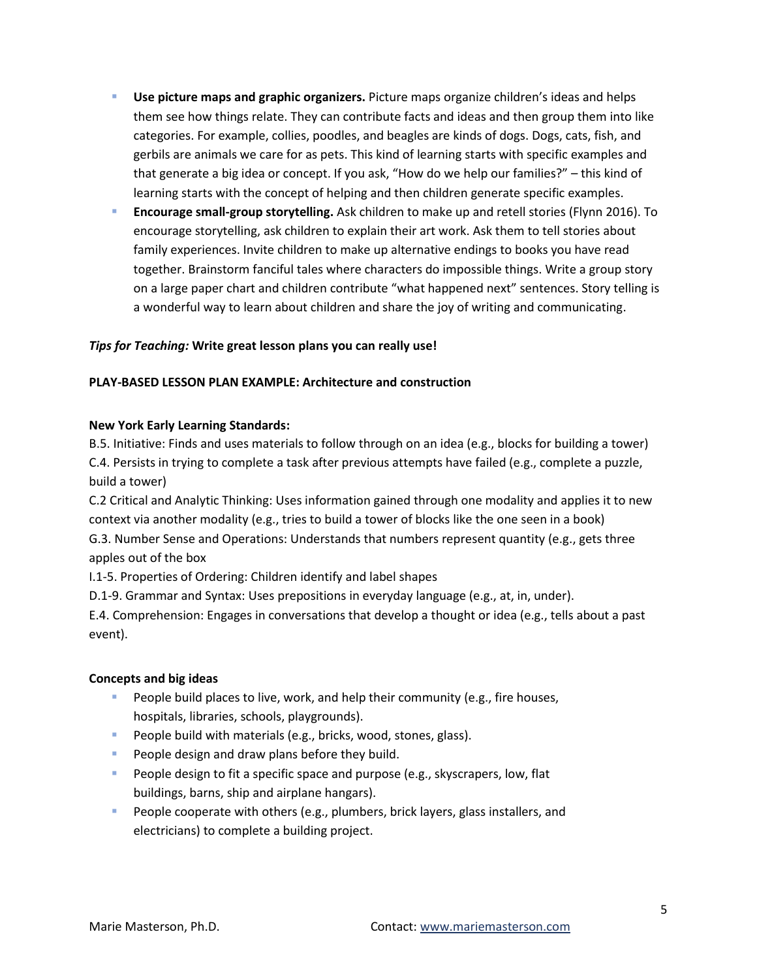- **Use picture maps and graphic organizers.** Picture maps organize children's ideas and helps them see how things relate. They can contribute facts and ideas and then group them into like categories. For example, collies, poodles, and beagles are kinds of dogs. Dogs, cats, fish, and gerbils are animals we care for as pets. This kind of learning starts with specific examples and that generate a big idea or concept. If you ask, "How do we help our families?" – this kind of learning starts with the concept of helping and then children generate specific examples.
- **Encourage small-group storytelling.** Ask children to make up and retell stories (Flynn 2016). To encourage storytelling, ask children to explain their art work. Ask them to tell stories about family experiences. Invite children to make up alternative endings to books you have read together. Brainstorm fanciful tales where characters do impossible things. Write a group story on a large paper chart and children contribute "what happened next" sentences. Story telling is a wonderful way to learn about children and share the joy of writing and communicating.

# *Tips for Teaching:* **Write great lesson plans you can really use!**

# **PLAY-BASED LESSON PLAN EXAMPLE: Architecture and construction**

## **New York Early Learning Standards:**

B.5. Initiative: Finds and uses materials to follow through on an idea (e.g., blocks for building a tower) C.4. Persists in trying to complete a task after previous attempts have failed (e.g., complete a puzzle, build a tower)

C.2 Critical and Analytic Thinking: Uses information gained through one modality and applies it to new context via another modality (e.g., tries to build a tower of blocks like the one seen in a book) G.3. Number Sense and Operations: Understands that numbers represent quantity (e.g., gets three apples out of the box

I.1-5. Properties of Ordering: Children identify and label shapes

D.1-9. Grammar and Syntax: Uses prepositions in everyday language (e.g., at, in, under).

E.4. Comprehension: Engages in conversations that develop a thought or idea (e.g., tells about a past event).

# **Concepts and big ideas**

- **People build places to live, work, and help their community (e.g., fire houses,** hospitals, libraries, schools, playgrounds).
- **People build with materials (e.g., bricks, wood, stones, glass).**
- **People design and draw plans before they build.**
- **People design to fit a specific space and purpose (e.g., skyscrapers, low, flat** buildings, barns, ship and airplane hangars).
- **People cooperate with others (e.g., plumbers, brick layers, glass installers, and** electricians) to complete a building project.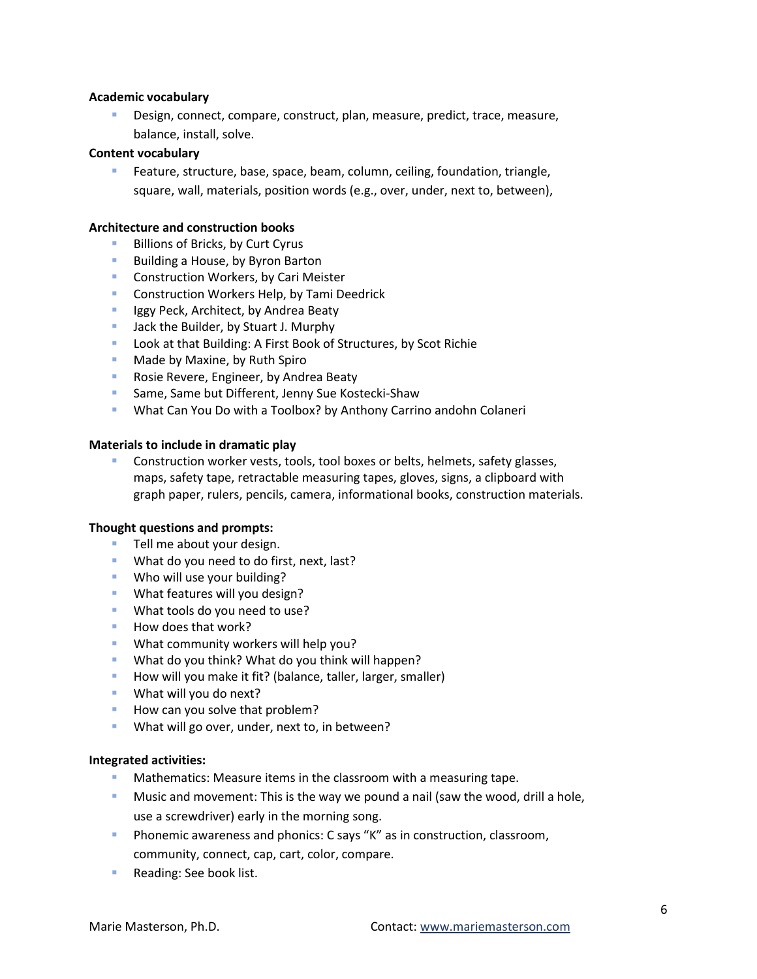## **Academic vocabulary**

 Design, connect, compare, construct, plan, measure, predict, trace, measure, balance, install, solve.

### **Content vocabulary**

 Feature, structure, base, space, beam, column, ceiling, foundation, triangle, square, wall, materials, position words (e.g., over, under, next to, between),

### **Architecture and construction books**

- **Billions of Bricks, by Curt Cyrus**
- **Building a House, by Byron Barton**
- **Construction Workers, by Cari Meister**
- **E** Construction Workers Help, by Tami Deedrick
- **If** Iggy Peck, Architect, by Andrea Beaty
- **Jack the Builder, by Stuart J. Murphy**
- **Look at that Building: A First Book of Structures, by Scot Richie**
- **Made by Maxine, by Ruth Spiro**
- **Rosie Revere, Engineer, by Andrea Beaty**
- **Same, Same but Different, Jenny Sue Kostecki-Shaw**
- What Can You Do with a Toolbox? by Anthony Carrino andohn Colaneri

## **Materials to include in dramatic play**

 Construction worker vests, tools, tool boxes or belts, helmets, safety glasses, maps, safety tape, retractable measuring tapes, gloves, signs, a clipboard with graph paper, rulers, pencils, camera, informational books, construction materials.

#### **Thought questions and prompts:**

- **Tell me about your design.**
- **What do you need to do first, next, last?**
- **Who will use your building?**
- **What features will you design?**
- **What tools do you need to use?**
- How does that work?
- **What community workers will help you?**
- What do you think? What do you think will happen?
- How will you make it fit? (balance, taller, larger, smaller)
- **What will you do next?**
- How can you solve that problem?
- **What will go over, under, next to, in between?**

#### **Integrated activities:**

- Mathematics: Measure items in the classroom with a measuring tape.
- Music and movement: This is the way we pound a nail (saw the wood, drill a hole, use a screwdriver) early in the morning song.
- **Phonemic awareness and phonics: C says "K" as in construction, classroom,** community, connect, cap, cart, color, compare.
- Reading: See book list.